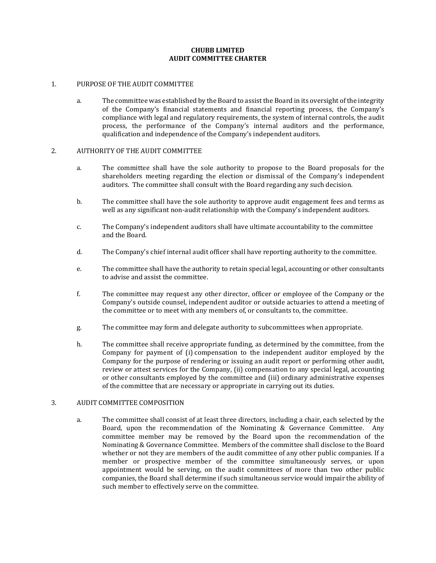## **CHUBB LIMITED AUDIT COMMITTEE CHARTER**

#### 1. PURPOSE OF THE AUDIT COMMITTEE

a. The committee was established by the Board to assist the Board in its oversight of the integrity of the Company's financial statements and financial reporting process, the Company's compliance with legal and regulatory requirements, the system of internal controls, the audit process, the performance of the Company's internal auditors and the performance, qualification and independence of the Company's independent auditors.

#### 2. AUTHORITY OF THE AUDIT COMMITTEE

- a. The committee shall have the sole authority to propose to the Board proposals for the shareholders meeting regarding the election or dismissal of the Company's independent auditors. The committee shall consult with the Board regarding any such decision.
- b. The committee shall have the sole authority to approve audit engagement fees and terms as well as any significant non-audit relationship with the Company's independent auditors.
- c. The Company's independent auditors shall have ultimate accountability to the committee and the Board.
- d. The Company's chief internal audit officer shall have reporting authority to the committee.
- e. The committee shall have the authority to retain special legal, accounting or other consultants to advise and assist the committee.
- f. The committee may request any other director, officer or employee of the Company or the Company's outside counsel, independent auditor or outside actuaries to attend a meeting of the committee or to meet with any members of, or consultants to, the committee.
- g. The committee may form and delegate authority to subcommittees when appropriate.
- h. The committee shall receive appropriate funding, as determined by the committee, from the Company for payment of (i) compensation to the independent auditor employed by the Company for the purpose of rendering or issuing an audit report or performing other audit, review or attest services for the Company, (ii) compensation to any special legal, accounting or other consultants employed by the committee and (iii) ordinary administrative expenses of the committee that are necessary or appropriate in carrying out its duties.

## 3. AUDIT COMMITTEE COMPOSITION

a. The committee shall consist of at least three directors, including a chair, each selected by the Board, upon the recommendation of the Nominating & Governance Committee. Any committee member may be removed by the Board upon the recommendation of the Nominating & Governance Committee. Members of the committee shall disclose to the Board whether or not they are members of the audit committee of any other public companies. If a member or prospective member of the committee simultaneously serves, or upon appointment would be serving, on the audit committees of more than two other public companies, the Board shall determine if such simultaneous service would impair the ability of such member to effectively serve on the committee.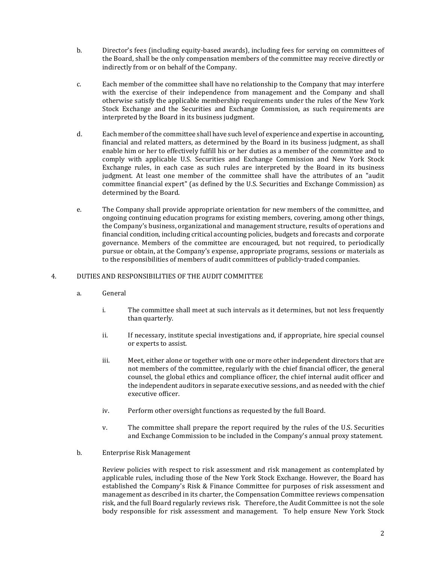- b. Director's fees (including equity-based awards), including fees for serving on committees of the Board, shall be the only compensation members of the committee may receive directly or indirectly from or on behalf of the Company.
- c. Each member of the committee shall have no relationship to the Company that may interfere with the exercise of their independence from management and the Company and shall otherwise satisfy the applicable membership requirements under the rules of the New York Stock Exchange and the Securities and Exchange Commission, as such requirements are interpreted by the Board in its business judgment.
- d. Each member of the committee shall have such level of experience and expertise in accounting, financial and related matters, as determined by the Board in its business judgment, as shall enable him or her to effectively fulfill his or her duties as a member of the committee and to comply with applicable U.S. Securities and Exchange Commission and New York Stock Exchange rules, in each case as such rules are interpreted by the Board in its business judgment. At least one member of the committee shall have the attributes of an "audit committee financial expert" (as defined by the U.S. Securities and Exchange Commission) as determined by the Board.
- e. The Company shall provide appropriate orientation for new members of the committee, and ongoing continuing education programs for existing members, covering, among other things, the Company's business, organizational and management structure, results of operations and financial condition, including critical accounting policies, budgets and forecasts and corporate governance. Members of the committee are encouraged, but not required, to periodically pursue or obtain, at the Company's expense, appropriate programs, sessions or materials as to the responsibilities of members of audit committees of publicly-traded companies.

# 4. DUTIES AND RESPONSIBILITIES OF THE AUDIT COMMITTEE

- a. General
	- i. The committee shall meet at such intervals as it determines, but not less frequently than quarterly.
	- ii. If necessary, institute special investigations and, if appropriate, hire special counsel or experts to assist.
	- iii. Meet, either alone or together with one or more other independent directors that are not members of the committee, regularly with the chief financial officer, the general counsel, the global ethics and compliance officer, the chief internal audit officer and the independent auditors in separate executive sessions, and as needed with the chief executive officer.
	- iv. Perform other oversight functions as requested by the full Board.
	- v. The committee shall prepare the report required by the rules of the U.S. Securities and Exchange Commission to be included in the Company's annual proxy statement.
- b. Enterprise Risk Management

Review policies with respect to risk assessment and risk management as contemplated by applicable rules, including those of the New York Stock Exchange. However, the Board has established the Company's Risk & Finance Committee for purposes of risk assessment and management as described in its charter, the Compensation Committee reviews compensation risk, and the full Board regularly reviews risk. Therefore, the Audit Committee is not the sole body responsible for risk assessment and management. To help ensure New York Stock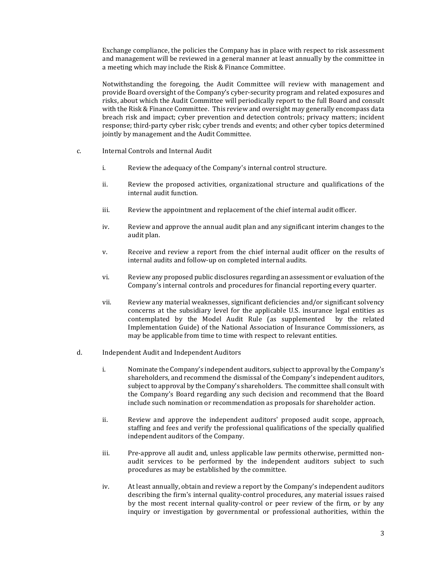Exchange compliance, the policies the Company has in place with respect to risk assessment and management will be reviewed in a general manner at least annually by the committee in a meeting which may include the Risk & Finance Committee.

Notwithstanding the foregoing, the Audit Committee will review with management and provide Board oversight of the Company's cyber-security program and related exposures and risks, about which the Audit Committee will periodically report to the full Board and consult with the Risk & Finance Committee. This review and oversight may generally encompass data breach risk and impact; cyber prevention and detection controls; privacy matters; incident response; third-party cyber risk; cyber trends and events; and other cyber topics determined jointly by management and the Audit Committee.

- c. Internal Controls and Internal Audit
	- i. Review the adequacy of the Company's internal control structure.
	- ii. Review the proposed activities, organizational structure and qualifications of the internal audit function.
	- iii. Review the appointment and replacement of the chief internal audit officer.
	- iv. Review and approve the annual audit plan and any significant interim changes to the audit plan.
	- v. Receive and review a report from the chief internal audit officer on the results of internal audits and follow-up on completed internal audits.
	- vi. Review any proposed public disclosures regarding an assessment or evaluation of the Company's internal controls and procedures for financial reporting every quarter.
	- vii. Review any material weaknesses, significant deficiencies and/or significant solvency concerns at the subsidiary level for the applicable U.S. insurance legal entities as contemplated by the Model Audit Rule (as supplemented by the related Implementation Guide) of the National Association of Insurance Commissioners, as may be applicable from time to time with respect to relevant entities.
- d. Independent Audit and Independent Auditors
	- i. Nominate the Company's independent auditors, subject to approval by the Company's shareholders, and recommend the dismissal of the Company's independent auditors, subject to approval by the Company's shareholders. The committee shall consult with the Company's Board regarding any such decision and recommend that the Board include such nomination or recommendation as proposals for shareholder action.
	- ii. Review and approve the independent auditors' proposed audit scope, approach, staffing and fees and verify the professional qualifications of the specially qualified independent auditors of the Company.
	- iii. Pre-approve all audit and, unless applicable law permits otherwise, permitted nonaudit services to be performed by the independent auditors subject to such procedures as may be established by the committee.
	- iv. At least annually, obtain and review a report by the Company's independent auditors describing the firm's internal quality-control procedures, any material issues raised by the most recent internal quality-control or peer review of the firm, or by any inquiry or investigation by governmental or professional authorities, within the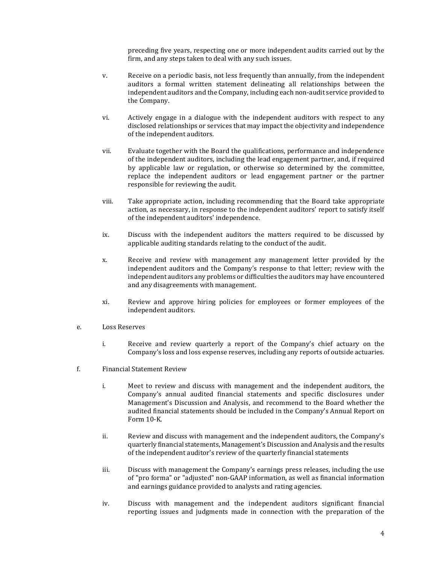preceding five years, respecting one or more independent audits carried out by the firm, and any steps taken to deal with any such issues.

- v. Receive on a periodic basis, not less frequently than annually, from the independent auditors a formal written statement delineating all relationships between the independent auditors and the Company, including each non-audit service provided to the Company.
- vi. Actively engage in a dialogue with the independent auditors with respect to any disclosed relationships or services that may impact the objectivity and independence of the independent auditors.
- vii. Evaluate together with the Board the qualifications, performance and independence of the independent auditors, including the lead engagement partner, and, if required by applicable law or regulation, or otherwise so determined by the committee, replace the independent auditors or lead engagement partner or the partner responsible for reviewing the audit.
- viii. Take appropriate action, including recommending that the Board take appropriate action, as necessary, in response to the independent auditors' report to satisfy itself of the independent auditors' independence.
- ix. Discuss with the independent auditors the matters required to be discussed by applicable auditing standards relating to the conduct of the audit.
- x. Receive and review with management any management letter provided by the independent auditors and the Company's response to that letter; review with the independent auditors any problems or difficulties the auditors may have encountered and any disagreements with management.
- xi. Review and approve hiring policies for employees or former employees of the independent auditors.
- e. Loss Reserves
	- i. Receive and review quarterly a report of the Company's chief actuary on the Company's loss and loss expense reserves, including any reports of outside actuaries.
- f. Financial Statement Review
	- i. Meet to review and discuss with management and the independent auditors, the Company's annual audited financial statements and specific disclosures under Management's Discussion and Analysis, and recommend to the Board whether the audited financial statements should be included in the Company's Annual Report on Form 10-K.
	- ii. Review and discuss with management and the independent auditors, the Company's quarterly financial statements, Management's Discussion and Analysis and the results of the independent auditor's review of the quarterly financial statements
	- iii. Discuss with management the Company's earnings press releases, including the use of "pro forma" or "adjusted" non-GAAP information, as well as financial information and earnings guidance provided to analysts and rating agencies.
	- iv. Discuss with management and the independent auditors significant financial reporting issues and judgments made in connection with the preparation of the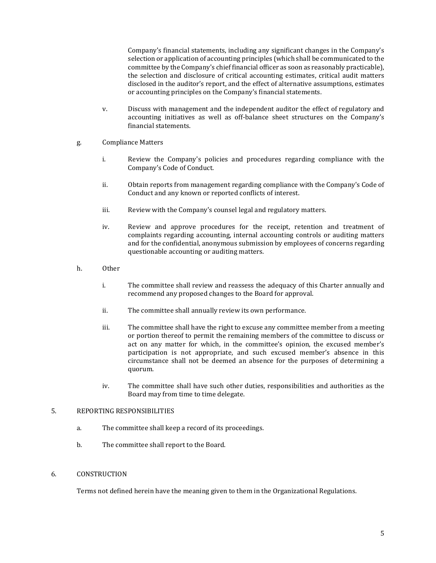Company's financial statements, including any significant changes in the Company's selection or application of accounting principles (which shall be communicated to the committee by the Company's chief financial officer as soon as reasonably practicable), the selection and disclosure of critical accounting estimates, critical audit matters disclosed in the auditor's report, and the effect of alternative assumptions, estimates or accounting principles on the Company's financial statements.

- v. Discuss with management and the independent auditor the effect of regulatory and accounting initiatives as well as off-balance sheet structures on the Company's financial statements.
- g. Compliance Matters
	- i. Review the Company's policies and procedures regarding compliance with the Company's Code of Conduct.
	- ii. Obtain reports from management regarding compliance with the Company's Code of Conduct and any known or reported conflicts of interest.
	- iii. Review with the Company's counsel legal and regulatory matters.
	- iv. Review and approve procedures for the receipt, retention and treatment of complaints regarding accounting, internal accounting controls or auditing matters and for the confidential, anonymous submission by employees of concerns regarding questionable accounting or auditing matters.
- h. Other
	- i. The committee shall review and reassess the adequacy of this Charter annually and recommend any proposed changes to the Board for approval.
	- ii. The committee shall annually review its own performance.
	- iii. The committee shall have the right to excuse any committee member from a meeting or portion thereof to permit the remaining members of the committee to discuss or act on any matter for which, in the committee's opinion, the excused member's participation is not appropriate, and such excused member's absence in this circumstance shall not be deemed an absence for the purposes of determining a quorum.
	- iv. The committee shall have such other duties, responsibilities and authorities as the Board may from time to time delegate.

# 5. REPORTING RESPONSIBILITIES

- a. The committee shall keep a record of its proceedings.
- b. The committee shall report to the Board.

## 6. CONSTRUCTION

Terms not defined herein have the meaning given to them in the Organizational Regulations.